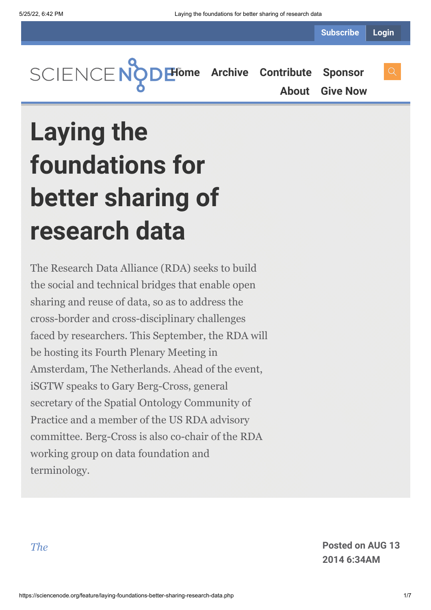

# **Laying the foundations for better sharing of research data**

The Research Data Alliance (RDA) seeks to build the social and technical bridges that enable open sharing and reuse of data, so as to address the cross-border and cross-disciplinary challenges faced by researchers. This September, the RDA will be hosting its Fourth Plenary Meeting in Amsterdam, The Netherlands. Ahead of the event, iSGTW speaks to Gary Berg-Cross, general secretary of the Spatial Ontology Community of Practice and a member of the US RDA advisory committee. Berg-Cross is also co-chair of the RDA working group on data foundation and terminology.

*[The](https://www.rd-alliance.org/)* **Posted on AUG 13 2014 6:34AM**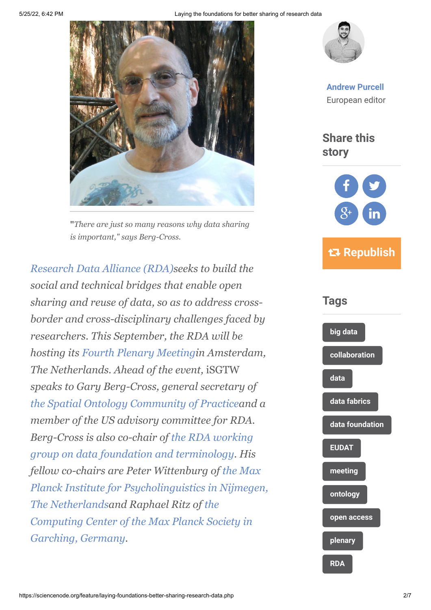

**"***There are just so many reasons why data sharing is important," says Berg-Cross.*

*[Research Data Alliance \(RDA\)s](https://www.rd-alliance.org/)eeks to build the social and technical bridges that enable open sharing and reuse of data, so as to address crossborder and cross-disciplinary challenges faced by researchers. This September, the RDA will be hosting its [Fourth Plenary Meeting](https://www.rd-alliance.org/rda-fourth-plenary-meeting.html)in Amsterdam, The Netherlands. Ahead of the event,* iSGTW *speaks to Gary Berg-Cross, general secretary of [the Spatial Ontology Community of Practice](http://www.socop.org/)and a member of the US advisory committee for RDA. Berg-Cross is also co-chair of the RDA working [group on data foundation and terminology. His](https://www.rd-alliance.org/group/data-foundation-and-terminology-wg.html) fellow co-chairs are Peter Wittenburg of the Max [Planck Institute for Psycholinguistics in Nijmegen,](http://www.mpi.nl/) The Netherlandsand Raphael Ritz of the [Computing Center of the Max Planck Society in](file:///C:/Users/Gary%20Bergcross/Downloads/Computing%20Center%20of%20the%20Max%20Planck%20Society) Garching, Germany.*



**[Andrew Purcell](https://sciencenode.org/author/andrew-purcell.php)** European editor

**Share this story**



 **Republish**

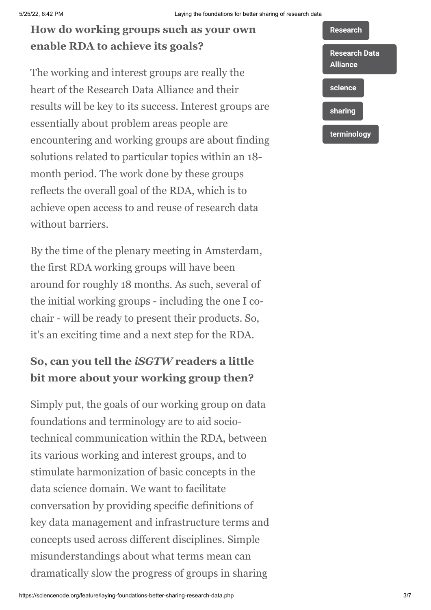### **How do working groups such as your own enable RDA to achieve its goals?**

The working and interest groups are really the heart of the Research Data Alliance and their results will be key to its success. Interest groups are essentially about problem areas people are encountering and working groups are about finding solutions related to particular topics within an 18 month period. The work done by these groups reflects the overall goal of the RDA, which is to achieve open access to and reuse of research data without barriers.

By the time of the plenary meeting in Amsterdam, the first RDA working groups will have been around for roughly 18 months. As such, several of the initial working groups - including the one I cochair - will be ready to present their products. So, it's an exciting time and a next step for the RDA.

### **So, can you tell the** *iSGTW* **readers a little bit more about your working group then?**

Simply put, the goals of our working group on data foundations and terminology are to aid sociotechnical communication within the RDA, between its various working and interest groups, and to stimulate harmonization of basic concepts in the data science domain. We want to facilitate conversation by providing specific definitions of key data management and infrastructure terms and concepts used across different disciplines. Simple misunderstandings about what terms mean can dramatically slow the progress of groups in sharing

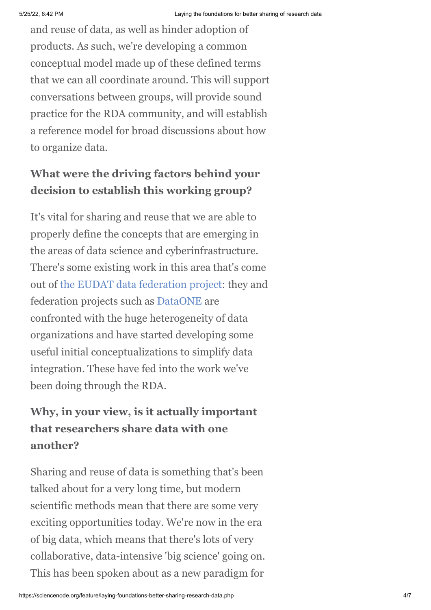and reuse of data, as well as hinder adoption of products. As such, we're developing a common conceptual model made up of these defined terms that we can all coordinate around. This will support conversations between groups, will provide sound practice for the RDA community, and will establish a reference model for broad discussions about how to organize data.

#### **What were the driving factors behind your decision to establish this working group?**

It's vital for sharing and reuse that we are able to properly define the concepts that are emerging in the areas of data science and cyberinfrastructure. There's some existing work in this area that's come out of [the EUDAT data federation project:](http://www.eudat.eu/) they and federation projects such as [DataONE](http://www.dataone.org/) are confronted with the huge heterogeneity of data organizations and have started developing some useful initial conceptualizations to simplify data integration. These have fed into the work we've been doing through the RDA.

## **Why, in your view, is it actually important that researchers share data with one another?**

Sharing and reuse of data is something that's been talked about for a very long time, but modern scientific methods mean that there are some very exciting opportunities today. We're now in the era of big data, which means that there's lots of very collaborative, data-intensive 'big science' going on. This has been spoken about as a new paradigm for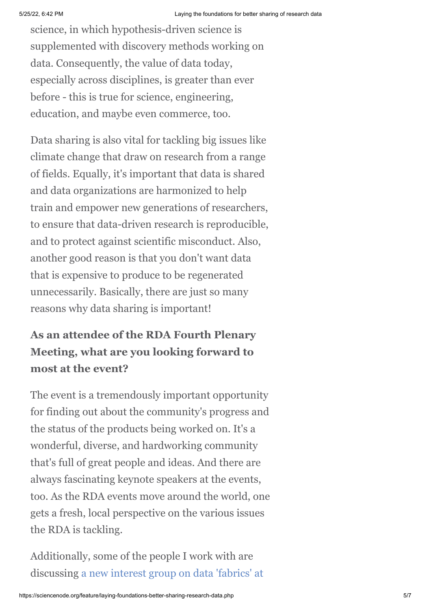science, in which hypothesis-driven science is supplemented with discovery methods working on data. Consequently, the value of data today, especially across disciplines, is greater than ever before - this is true for science, engineering, education, and maybe even commerce, too.

Data sharing is also vital for tackling big issues like climate change that draw on research from a range of fields. Equally, it's important that data is shared and data organizations are harmonized to help train and empower new generations of researchers, to ensure that data-driven research is reproducible, and to protect against scientific misconduct. Also, another good reason is that you don't want data that is expensive to produce to be regenerated unnecessarily. Basically, there are just so many reasons why data sharing is important!

# **As an attendee of the RDA Fourth Plenary Meeting, what are you looking forward to most at the event?**

The event is a tremendously important opportunity for finding out about the community's progress and the status of the products being worked on. It's a wonderful, diverse, and hardworking community that's full of great people and ideas. And there are always fascinating keynote speakers at the events, too. As the RDA events move around the world, one gets a fresh, local perspective on the various issues the RDA is tackling.

Additionally, some of the people I work with are [discussing a new interest group on data 'fabrics' at](https://www.rd-alliance.org/group/data-fabric-ig/case-statement/data-fabric-ig-case-statement.html)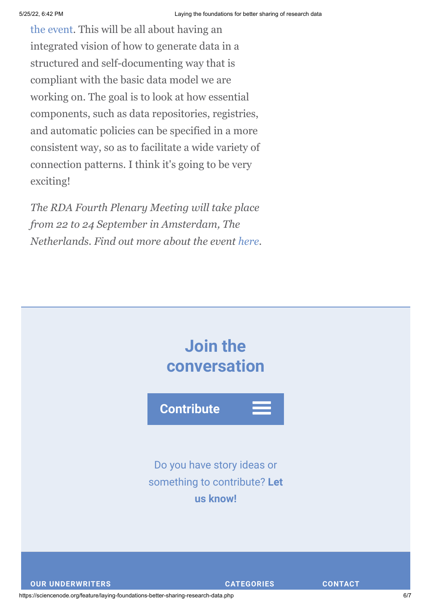[the event. This will be all about having an](https://www.rd-alliance.org/group/data-fabric-ig/case-statement/data-fabric-ig-case-statement.html) integrated vision of how to generate data in a structured and self-documenting way that is compliant with the basic data model we are working on. The goal is to look at how essential components, such as data repositories, registries, and automatic policies can be specified in a more consistent way, so as to facilitate a wide variety of connection patterns. I think it's going to be very exciting!

*The RDA Fourth Plenary Meeting will take place from 22 to 24 September in Amsterdam, The Netherlands. Find out more about the event [here.](https://www.rd-alliance.org/rda-fourth-plenary-meeting.html)*



https://sciencenode.org/feature/laying-foundations-better-sharing-research-data.php 6/7